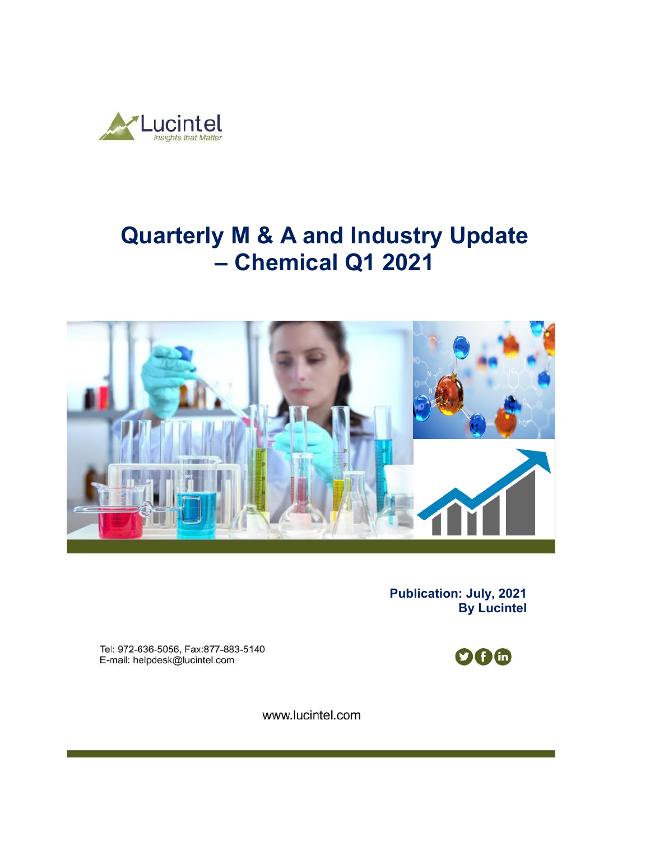

# **Quarterly M & A and Industry Update – Chemical Q1 2021**



**Publication: July, 2021 By Lucintel** 

Tel: 972-636-5056, Fax:877-883-5140 E-mail: helpdesk@lucintel.com



www.lucintel.com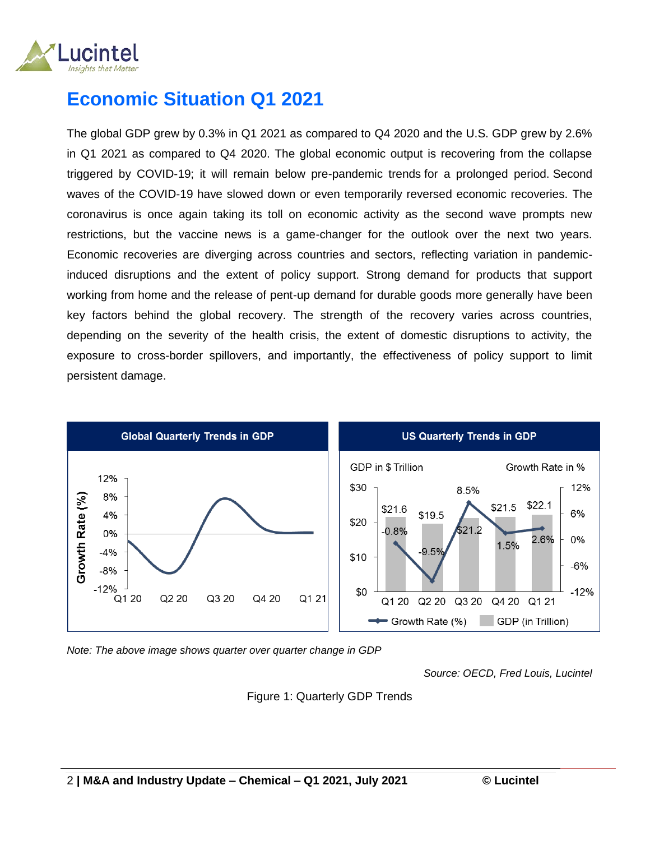

## **Economic Situation Q1 2021**

The global GDP grew by 0.3% in Q1 2021 as compared to Q4 2020 and the U.S. GDP grew by 2.6% in Q1 2021 as compared to Q4 2020. The global economic output is recovering from the collapse triggered by COVID-19; it will remain below pre-pandemic trends for a prolonged period. Second waves of the COVID-19 have slowed down or even temporarily reversed economic recoveries. The coronavirus is once again taking its toll on economic activity as the second wave prompts new restrictions, but the vaccine news is a game-changer for the outlook over the next two years. Economic recoveries are diverging across countries and sectors, reflecting variation in pandemicinduced disruptions and the extent of policy support. Strong demand for products that support working from home and the release of pent-up demand for durable goods more generally have been key factors behind the global recovery. The strength of the recovery varies across countries, depending on the severity of the health crisis, the extent of domestic disruptions to activity, the exposure to cross-border spillovers, and importantly, the effectiveness of policy support to limit persistent damage.



*Note: The above image shows quarter over quarter change in GDP* 

*Source: OECD, Fred Louis, Lucintel*

Figure 1: Quarterly GDP Trends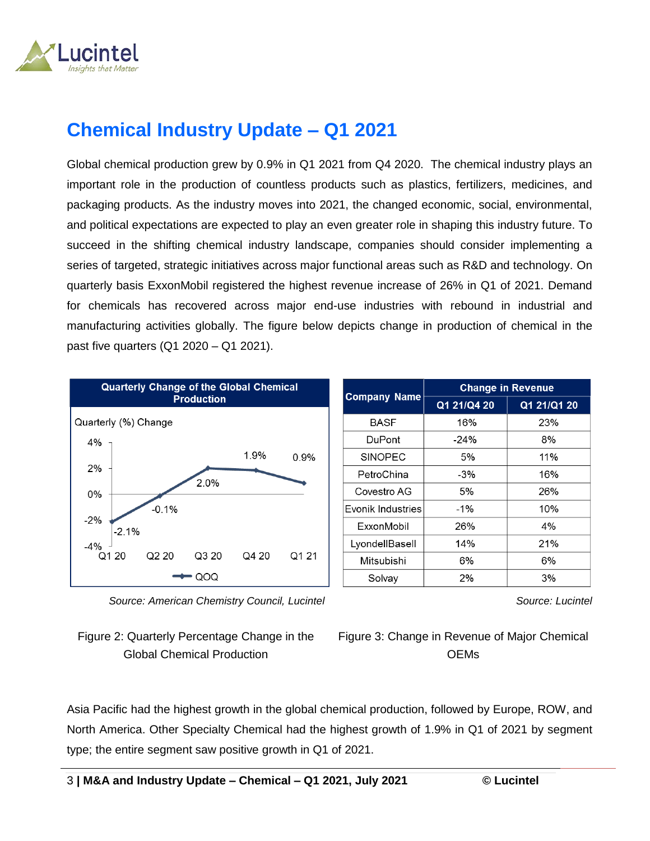

## **Chemical Industry Update – Q1 2021**

Global chemical production grew by 0.9% in Q1 2021 from Q4 2020. The chemical industry plays an important role in the production of countless products such as plastics, fertilizers, medicines, and packaging products. As the industry moves into 2021, the changed economic, social, environmental, and political expectations are expected to play an even greater role in shaping this industry future. To succeed in the shifting chemical industry landscape, companies should consider implementing a series of targeted, strategic initiatives across major functional areas such as R&D and technology. On quarterly basis ExxonMobil registered the highest revenue increase of 26% in Q1 of 2021. Demand for chemicals has recovered across major end-use industries with rebound in industrial and manufacturing activities globally. The figure below depicts change in production of chemical in the past five quarters (Q1 2020 – Q1 2021).



 *Source: American Chemistry Council, Lucintel*



| <b>Company Name</b> | <b>Change in Revenue</b> |             |  |
|---------------------|--------------------------|-------------|--|
|                     | Q1 21/Q4 20              | Q1 21/Q1 20 |  |
| <b>BASF</b>         | 16%                      | 23%         |  |
| DuPont              | $-24%$                   | 8%          |  |
| <b>SINOPEC</b>      | 5%                       | 11%         |  |
| PetroChina          | $-3%$                    | 16%         |  |
| Covestro AG         | 5%                       | 26%         |  |
| Fvonik Industries   | $-1\%$                   | 10%         |  |
| ExxonMobil          | 26%                      | 4%          |  |
| LyondellBasell      | 14%                      | 21%         |  |
| Mitsubishi          | 6%                       | 6%          |  |
| Solvay              | 2%                       | 3%          |  |

*Source: Lucintel*

Figure 3: Change in Revenue of Major Chemical **OEMs** 

Asia Pacific had the highest growth in the global chemical production, followed by Europe, ROW, and North America. Other Specialty Chemical had the highest growth of 1.9% in Q1 of 2021 by segment type; the entire segment saw positive growth in Q1 of 2021.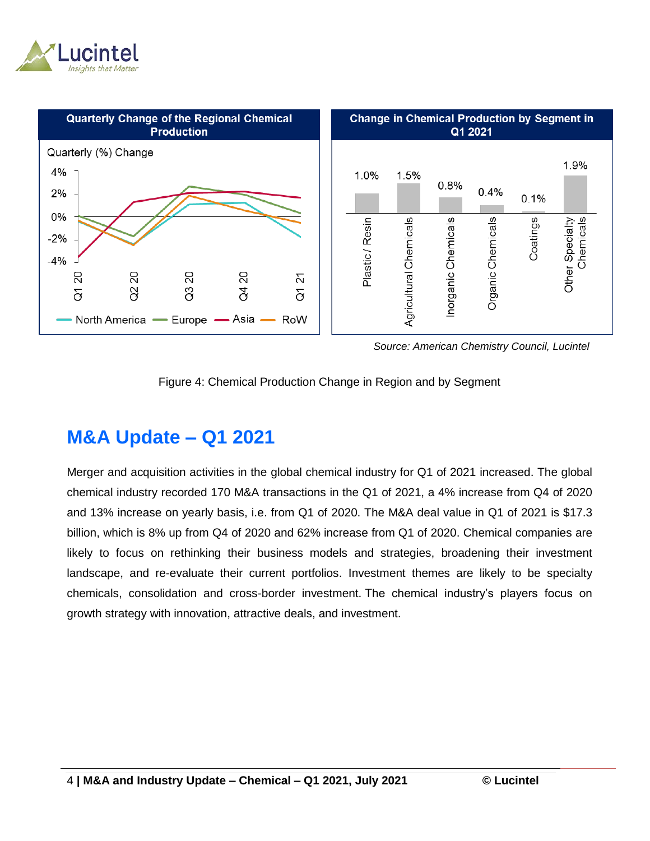



 *Source: American Chemistry Council, Lucintel*



## **M&A Update – Q1 2021**

Merger and acquisition activities in the global chemical industry for Q1 of 2021 increased. The global chemical industry recorded 170 M&A transactions in the Q1 of 2021, a 4% increase from Q4 of 2020 and 13% increase on yearly basis, i.e. from Q1 of 2020. The M&A deal value in Q1 of 2021 is \$17.3 billion, which is 8% up from Q4 of 2020 and 62% increase from Q1 of 2020. Chemical companies are likely to focus on rethinking their business models and strategies, broadening their investment landscape, and re-evaluate their current portfolios. Investment themes are likely to be specialty chemicals, consolidation and cross-border investment. The chemical industry's players focus on growth strategy with innovation, attractive deals, and investment.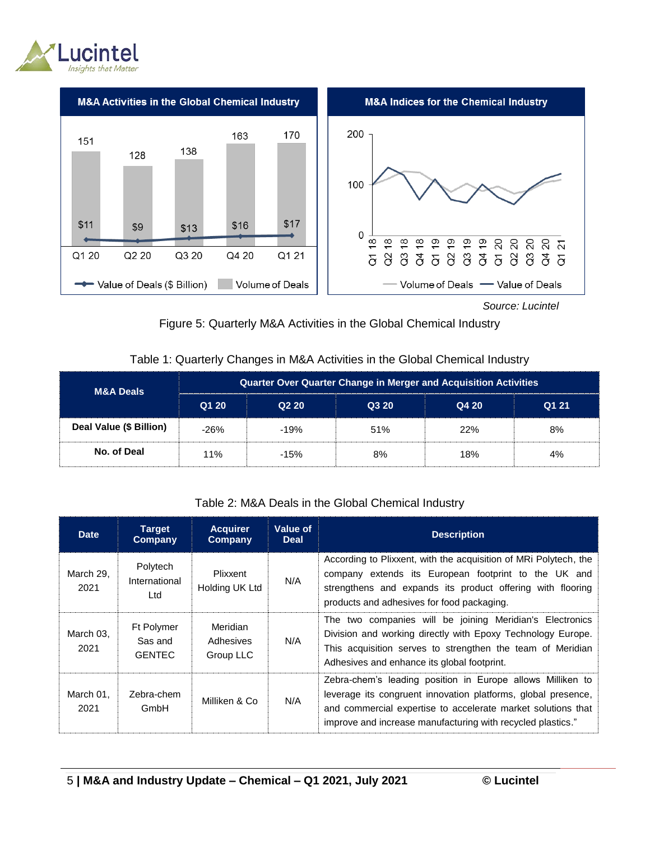



 *Source: Lucintel*



#### Table 1: Quarterly Changes in M&A Activities in the Global Chemical Industry

| <b>M&amp;A Deals</b>    | <b>Quarter Over Quarter Change in Merger and Acquisition Activities</b> |        |       |       |       |  |
|-------------------------|-------------------------------------------------------------------------|--------|-------|-------|-------|--|
|                         | Q1 20                                                                   | Q220   | Q3 20 | Q4 20 | Q1 21 |  |
| Deal Value (\$ Billion) | -26%                                                                    | $-19%$ | 51%   | 22%   | 8%    |  |
| No. of Deal             | 11%                                                                     | $-15%$ | 8%    | 18%   | 4%    |  |

#### Table 2: M&A Deals in the Global Chemical Industry

| <b>Date</b>       | <b>Target</b><br>Company               | <b>Acquirer</b><br>Company         | Value of<br><b>Deal</b> | <b>Description</b>                                                                                                                                                                                                                                         |
|-------------------|----------------------------------------|------------------------------------|-------------------------|------------------------------------------------------------------------------------------------------------------------------------------------------------------------------------------------------------------------------------------------------------|
| March 29.<br>2021 | Polytech<br>International<br>Ltd       | <b>Plixxent</b><br>Holding UK Ltd  | N/A                     | According to Plixxent, with the acquisition of MRI Polytech, the<br>company extends its European footprint to the UK and<br>strengthens and expands its product offering with flooring<br>products and adhesives for food packaging.                       |
| March 03.<br>2021 | Ft Polymer<br>Sas and<br><b>GENTEC</b> | Meridian<br>Adhesives<br>Group LLC | N/A                     | The two companies will be joining Meridian's Electronics<br>Division and working directly with Epoxy Technology Europe.<br>This acquisition serves to strengthen the team of Meridian<br>Adhesives and enhance its global footprint.                       |
| March 01,<br>2021 | Zebra-chem<br>GmbH                     | Milliken & Co                      | N/A                     | Zebra-chem's leading position in Europe allows Milliken to<br>leverage its congruent innovation platforms, global presence,<br>and commercial expertise to accelerate market solutions that<br>improve and increase manufacturing with recycled plastics." |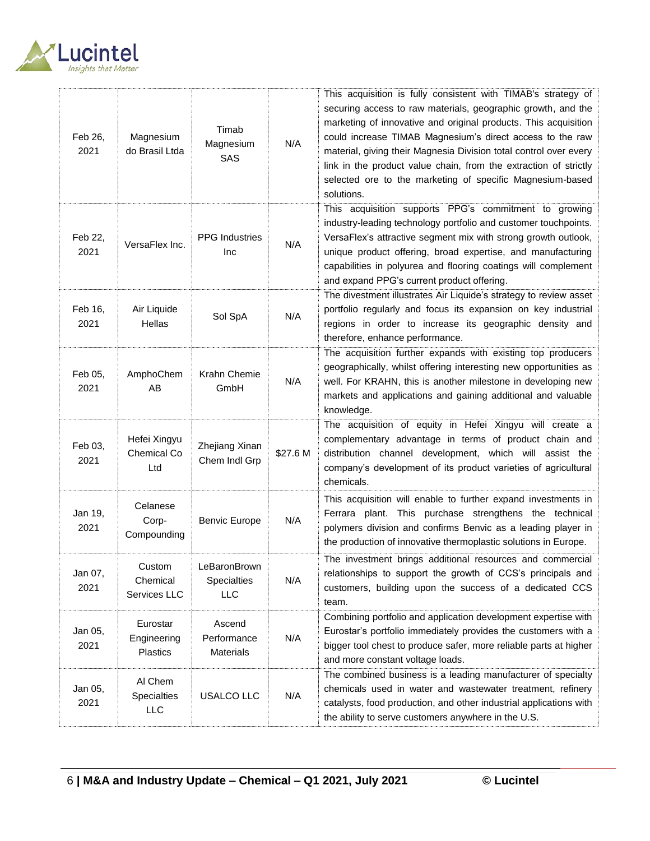

| Feb 26,<br>2021 | Magnesium<br>do Brasil Ltda                | Timab<br>Magnesium<br>SAS                        | N/A      | This acquisition is fully consistent with TIMAB's strategy of<br>securing access to raw materials, geographic growth, and the<br>marketing of innovative and original products. This acquisition<br>could increase TIMAB Magnesium's direct access to the raw<br>material, giving their Magnesia Division total control over every<br>link in the product value chain, from the extraction of strictly<br>selected ore to the marketing of specific Magnesium-based<br>solutions. |
|-----------------|--------------------------------------------|--------------------------------------------------|----------|-----------------------------------------------------------------------------------------------------------------------------------------------------------------------------------------------------------------------------------------------------------------------------------------------------------------------------------------------------------------------------------------------------------------------------------------------------------------------------------|
| Feb 22,<br>2021 | VersaFlex Inc.                             | <b>PPG</b> Industries<br>Inc                     | N/A      | This acquisition supports PPG's commitment to growing<br>industry-leading technology portfolio and customer touchpoints.<br>VersaFlex's attractive segment mix with strong growth outlook,<br>unique product offering, broad expertise, and manufacturing<br>capabilities in polyurea and flooring coatings will complement<br>and expand PPG's current product offering.                                                                                                         |
| Feb 16,<br>2021 | Air Liquide<br>Hellas                      | Sol SpA                                          | N/A      | The divestment illustrates Air Liquide's strategy to review asset<br>portfolio regularly and focus its expansion on key industrial<br>regions in order to increase its geographic density and<br>therefore, enhance performance.                                                                                                                                                                                                                                                  |
| Feb 05,<br>2021 | AmphoChem<br>AB                            | Krahn Chemie<br>GmbH                             | N/A      | The acquisition further expands with existing top producers<br>geographically, whilst offering interesting new opportunities as<br>well. For KRAHN, this is another milestone in developing new<br>markets and applications and gaining additional and valuable<br>knowledge.                                                                                                                                                                                                     |
| Feb 03,<br>2021 | Hefei Xingyu<br>Chemical Co<br>Ltd         | Zhejiang Xinan<br>Chem Indl Grp                  | \$27.6 M | The acquisition of equity in Hefei Xingyu will create a<br>complementary advantage in terms of product chain and<br>distribution channel development, which will assist the<br>company's development of its product varieties of agricultural<br>chemicals.                                                                                                                                                                                                                       |
| Jan 19,<br>2021 | Celanese<br>Corp-<br>Compounding           | <b>Benvic Europe</b>                             | N/A      | This acquisition will enable to further expand investments in<br>Ferrara plant. This purchase strengthens the technical<br>polymers division and confirms Benvic as a leading player in<br>the production of innovative thermoplastic solutions in Europe.                                                                                                                                                                                                                        |
| Jan 07,<br>2021 | Custom<br>Chemical<br>Services LLC         | LeBaronBrown<br><b>Specialties</b><br><b>LLC</b> | N/A      | The investment brings additional resources and commercial<br>relationships to support the growth of CCS's principals and<br>customers, building upon the success of a dedicated CCS<br>team.                                                                                                                                                                                                                                                                                      |
| Jan 05,<br>2021 | Eurostar<br>Engineering<br><b>Plastics</b> | Ascend<br>Performance<br><b>Materials</b>        | N/A      | Combining portfolio and application development expertise with<br>Eurostar's portfolio immediately provides the customers with a<br>bigger tool chest to produce safer, more reliable parts at higher<br>and more constant voltage loads.                                                                                                                                                                                                                                         |
| Jan 05,<br>2021 | Al Chem<br>Specialties<br>LLC              | USALCO LLC                                       | N/A      | The combined business is a leading manufacturer of specialty<br>chemicals used in water and wastewater treatment, refinery<br>catalysts, food production, and other industrial applications with<br>the ability to serve customers anywhere in the U.S.                                                                                                                                                                                                                           |